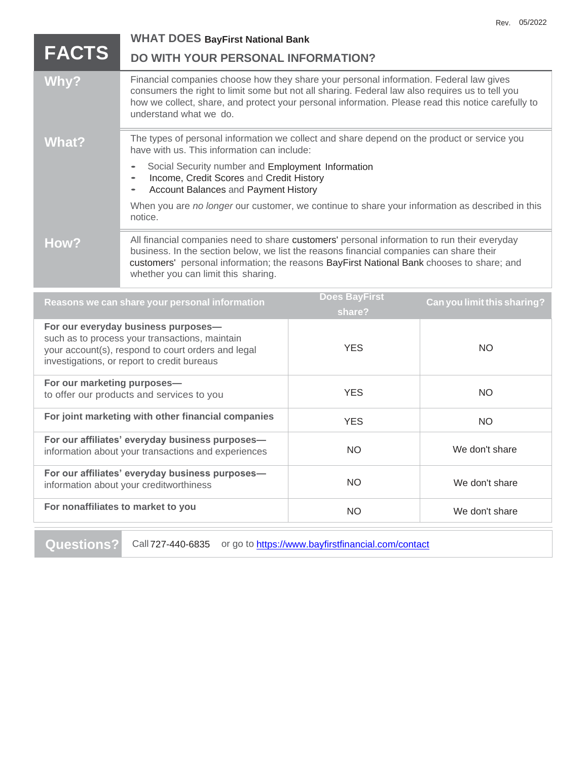|                                                                                                       | <b>WHAT DOES BayFirst National Bank</b>                                                                                                                                                                                                                                                                                    |  |
|-------------------------------------------------------------------------------------------------------|----------------------------------------------------------------------------------------------------------------------------------------------------------------------------------------------------------------------------------------------------------------------------------------------------------------------------|--|
| <b>FACTS</b>                                                                                          | DO WITH YOUR PERSONAL INFORMATION?                                                                                                                                                                                                                                                                                         |  |
| Why?                                                                                                  | Financial companies choose how they share your personal information. Federal law gives<br>consumers the right to limit some but not all sharing. Federal law also requires us to tell you<br>how we collect, share, and protect your personal information. Please read this notice carefully to<br>understand what we do.  |  |
| What?                                                                                                 | The types of personal information we collect and share depend on the product or service you<br>have with us. This information can include:                                                                                                                                                                                 |  |
|                                                                                                       | Social Security number and Employment Information<br>Income, Credit Scores and Credit History<br>Account Balances and Payment History                                                                                                                                                                                      |  |
|                                                                                                       | When you are no longer our customer, we continue to share your information as described in this<br>notice.                                                                                                                                                                                                                 |  |
| How?                                                                                                  | All financial companies need to share customers' personal information to run their everyday<br>business. In the section below, we list the reasons financial companies can share their<br>customers' personal information; the reasons BayFirst National Bank chooses to share; and<br>whether you can limit this sharing. |  |
| Does BayFirst<br>Reasons we can share your personal information<br><b>Can you limit this sharing?</b> |                                                                                                                                                                                                                                                                                                                            |  |

Rev. 05/2022

| noasono no can onaro joar porsonarmionnanoni                                                                                                                                               | share?     | $\sim$ , you mind and one might |
|--------------------------------------------------------------------------------------------------------------------------------------------------------------------------------------------|------------|---------------------------------|
| For our everyday business purposes-<br>such as to process your transactions, maintain<br>your account(s), respond to court orders and legal<br>investigations, or report to credit bureaus | <b>YES</b> | NO                              |
| For our marketing purposes-<br>to offer our products and services to you                                                                                                                   | <b>YES</b> | NO.                             |
| For joint marketing with other financial companies                                                                                                                                         | <b>YES</b> | NO.                             |
| For our affiliates' everyday business purposes-<br>information about your transactions and experiences                                                                                     | <b>NO</b>  | We don't share                  |
| For our affiliates' everyday business purposes-<br>information about your creditworthiness                                                                                                 | <b>NO</b>  | We don't share                  |
| For nonaffiliates to market to you                                                                                                                                                         | <b>NO</b>  | We don't share                  |
|                                                                                                                                                                                            |            |                                 |

Questions? Call 727-440-6835 or go to **<https://www.bayfirstfinancial.com/contact>**